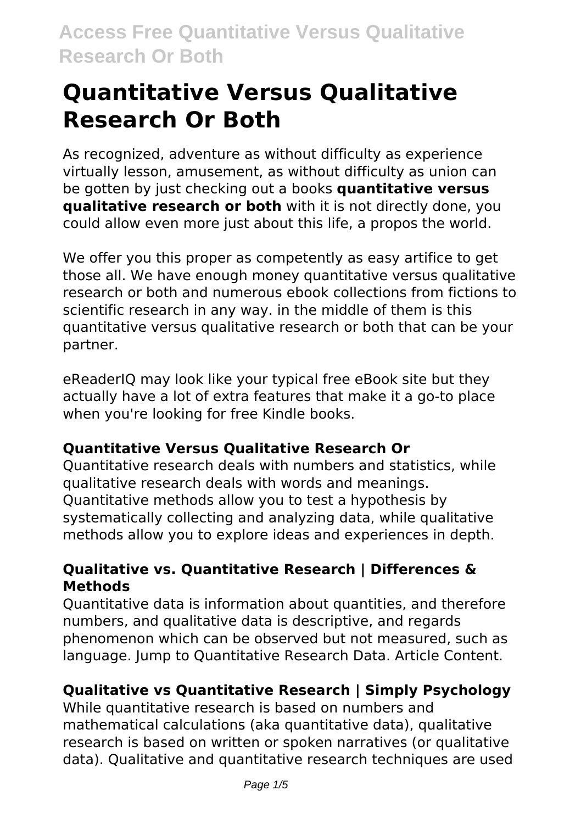# **Quantitative Versus Qualitative Research Or Both**

As recognized, adventure as without difficulty as experience virtually lesson, amusement, as without difficulty as union can be gotten by just checking out a books **quantitative versus qualitative research or both** with it is not directly done, you could allow even more just about this life, a propos the world.

We offer you this proper as competently as easy artifice to get those all. We have enough money quantitative versus qualitative research or both and numerous ebook collections from fictions to scientific research in any way. in the middle of them is this quantitative versus qualitative research or both that can be your partner.

eReaderIQ may look like your typical free eBook site but they actually have a lot of extra features that make it a go-to place when you're looking for free Kindle books.

# **Quantitative Versus Qualitative Research Or**

Quantitative research deals with numbers and statistics, while qualitative research deals with words and meanings. Quantitative methods allow you to test a hypothesis by systematically collecting and analyzing data, while qualitative methods allow you to explore ideas and experiences in depth.

### **Qualitative vs. Quantitative Research | Differences & Methods**

Quantitative data is information about quantities, and therefore numbers, and qualitative data is descriptive, and regards phenomenon which can be observed but not measured, such as language. Jump to Quantitative Research Data. Article Content.

# **Qualitative vs Quantitative Research | Simply Psychology**

While quantitative research is based on numbers and mathematical calculations (aka quantitative data), qualitative research is based on written or spoken narratives (or qualitative data). Qualitative and quantitative research techniques are used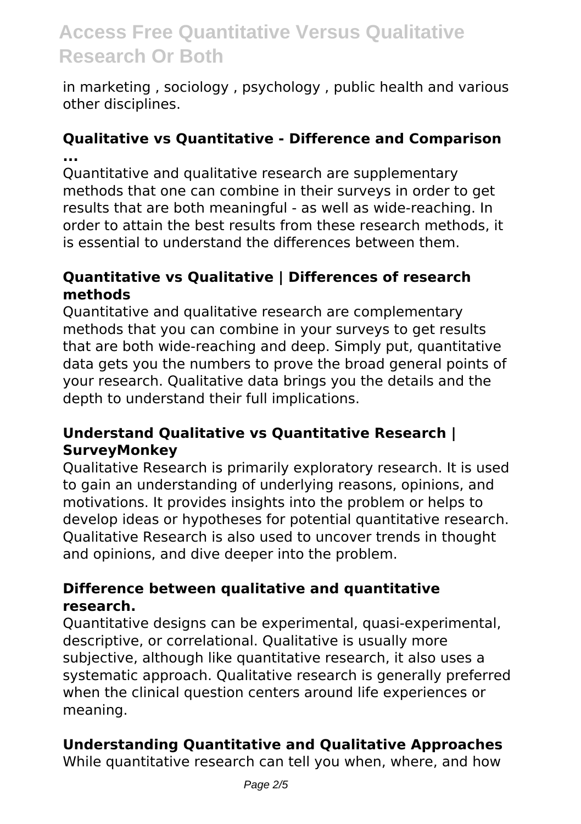in marketing , sociology , psychology , public health and various other disciplines.

#### **Qualitative vs Quantitative - Difference and Comparison ...**

Quantitative and qualitative research are supplementary methods that one can combine in their surveys in order to get results that are both meaningful - as well as wide-reaching. In order to attain the best results from these research methods, it is essential to understand the differences between them.

#### **Quantitative vs Qualitative | Differences of research methods**

Quantitative and qualitative research are complementary methods that you can combine in your surveys to get results that are both wide-reaching and deep. Simply put, quantitative data gets you the numbers to prove the broad general points of your research. Qualitative data brings you the details and the depth to understand their full implications.

### **Understand Qualitative vs Quantitative Research | SurveyMonkey**

Qualitative Research is primarily exploratory research. It is used to gain an understanding of underlying reasons, opinions, and motivations. It provides insights into the problem or helps to develop ideas or hypotheses for potential quantitative research. Qualitative Research is also used to uncover trends in thought and opinions, and dive deeper into the problem.

#### **Difference between qualitative and quantitative research.**

Quantitative designs can be experimental, quasi-experimental, descriptive, or correlational. Qualitative is usually more subjective, although like quantitative research, it also uses a systematic approach. Qualitative research is generally preferred when the clinical question centers around life experiences or meaning.

### **Understanding Quantitative and Qualitative Approaches**

While quantitative research can tell you when, where, and how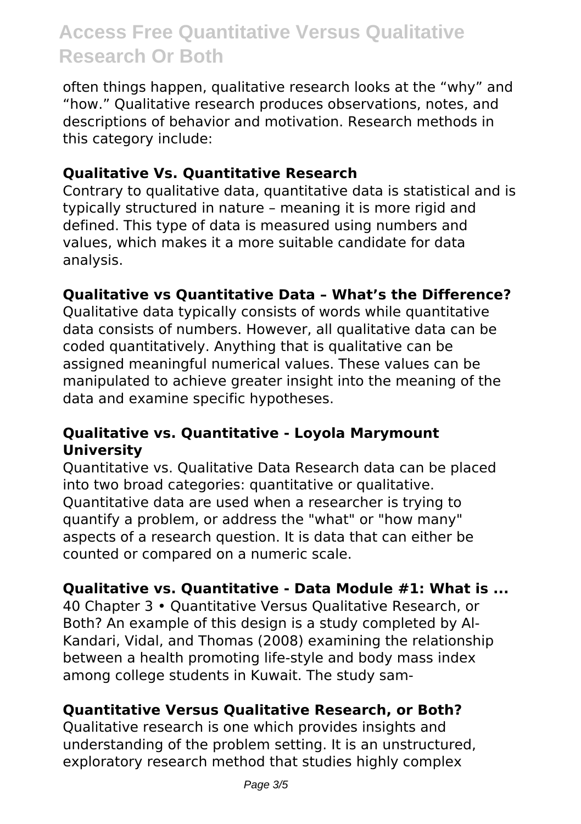often things happen, qualitative research looks at the "why" and "how." Qualitative research produces observations, notes, and descriptions of behavior and motivation. Research methods in this category include:

#### **Qualitative Vs. Quantitative Research**

Contrary to qualitative data, quantitative data is statistical and is typically structured in nature – meaning it is more rigid and defined. This type of data is measured using numbers and values, which makes it a more suitable candidate for data analysis.

#### **Qualitative vs Quantitative Data – What's the Difference?**

Qualitative data typically consists of words while quantitative data consists of numbers. However, all qualitative data can be coded quantitatively. Anything that is qualitative can be assigned meaningful numerical values. These values can be manipulated to achieve greater insight into the meaning of the data and examine specific hypotheses.

#### **Qualitative vs. Quantitative - Loyola Marymount University**

Quantitative vs. Qualitative Data Research data can be placed into two broad categories: quantitative or qualitative. Quantitative data are used when a researcher is trying to quantify a problem, or address the "what" or "how many" aspects of a research question. It is data that can either be counted or compared on a numeric scale.

#### **Qualitative vs. Quantitative - Data Module #1: What is ...**

40 Chapter 3 • Quantitative Versus Qualitative Research, or Both? An example of this design is a study completed by Al-Kandari, Vidal, and Thomas (2008) examining the relationship between a health promoting life-style and body mass index among college students in Kuwait. The study sam-

#### **Quantitative Versus Qualitative Research, or Both?**

Qualitative research is one which provides insights and understanding of the problem setting. It is an unstructured, exploratory research method that studies highly complex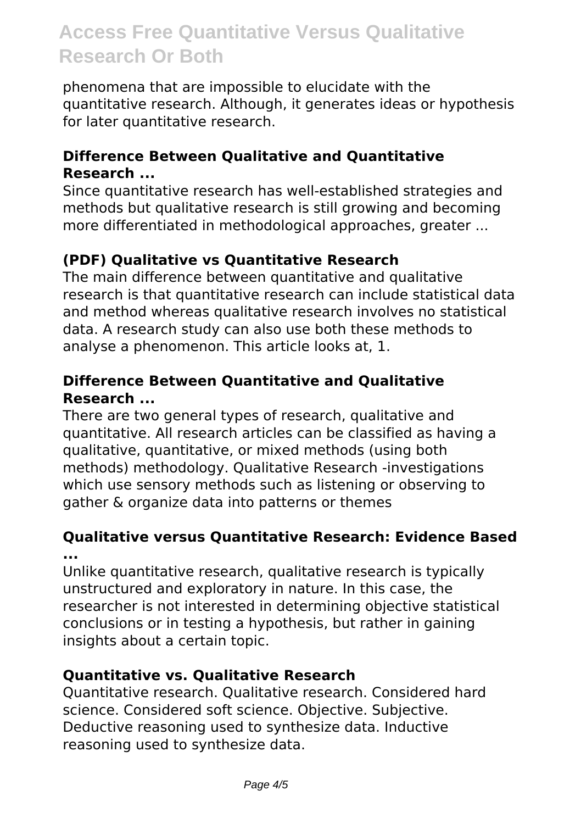phenomena that are impossible to elucidate with the quantitative research. Although, it generates ideas or hypothesis for later quantitative research.

#### **Difference Between Qualitative and Quantitative Research ...**

Since quantitative research has well-established strategies and methods but qualitative research is still growing and becoming more differentiated in methodological approaches, greater ...

## **(PDF) Qualitative vs Quantitative Research**

The main difference between quantitative and qualitative research is that quantitative research can include statistical data and method whereas qualitative research involves no statistical data. A research study can also use both these methods to analyse a phenomenon. This article looks at, 1.

#### **Difference Between Quantitative and Qualitative Research ...**

There are two general types of research, qualitative and quantitative. All research articles can be classified as having a qualitative, quantitative, or mixed methods (using both methods) methodology. Qualitative Research -investigations which use sensory methods such as listening or observing to gather & organize data into patterns or themes

#### **Qualitative versus Quantitative Research: Evidence Based ...**

Unlike quantitative research, qualitative research is typically unstructured and exploratory in nature. In this case, the researcher is not interested in determining objective statistical conclusions or in testing a hypothesis, but rather in gaining insights about a certain topic.

### **Quantitative vs. Qualitative Research**

Quantitative research. Qualitative research. Considered hard science. Considered soft science. Objective. Subjective. Deductive reasoning used to synthesize data. Inductive reasoning used to synthesize data.